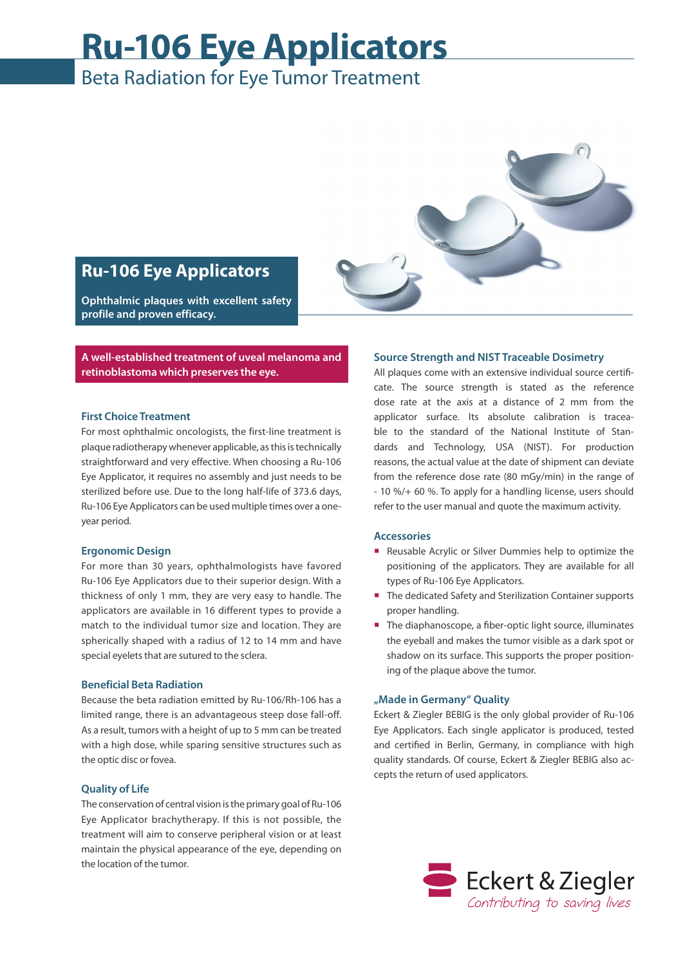## Beta Radiation for Eye Tumor Treatment **Ru-106 Eye Applicators**



### **Ru-106 Eye Applicators**

**Ophthalmic plaques with excellent safety profile and proven efficacy.**

**A well-established treatment of uveal melanoma and retinoblastoma which preserves the eye.**

#### **First Choice Treatment**

For most ophthalmic oncologists, the first-line treatment is plaque radiotherapy whenever applicable, as this is technically straightforward and very effective. When choosing a Ru-106 Eye Applicator, it requires no assembly and just needs to be sterilized before use. Due to the long half-life of 373.6 days, Ru-106 Eye Applicators can be used multiple times over a oneyear period.

#### **Ergonomic Design**

For more than 30 years, ophthalmologists have favored Ru-106 Eye Applicators due to their superior design. With a thickness of only 1 mm, they are very easy to handle. The applicators are available in 16 different types to provide a match to the individual tumor size and location. They are spherically shaped with a radius of 12 to 14 mm and have special eyelets that are sutured to the sclera.

#### **Beneficial Beta Radiation**

Because the beta radiation emitted by Ru-106/Rh-106 has a limited range, there is an advantageous steep dose fall-off. As a result, tumors with a height of up to 5 mm can be treated with a high dose, while sparing sensitive structures such as the optic disc or fovea.

#### **Quality of Life**

The conservation of central vision is the primary goal of Ru-106 Eye Applicator brachytherapy. If this is not possible, the treatment will aim to conserve peripheral vision or at least maintain the physical appearance of the eye, depending on the location of the tumor.

#### **Source Strength and NIST Traceable Dosimetry**

All plaques come with an extensive individual source certificate. The source strength is stated as the reference dose rate at the axis at a distance of 2 mm from the applicator surface. Its absolute calibration is traceable to the standard of the National Institute of Standards and Technology, USA (NIST). For production reasons, the actual value at the date of shipment can deviate from the reference dose rate (80 mGy/min) in the range of - 10 %/+ 60 %. To apply for a handling license, users should refer to the user manual and quote the maximum activity.

#### **Accessories**

- Reusable Acrylic or Silver Dummies help to optimize the positioning of the applicators. They are available for all types of Ru-106 Eye Applicators.
- The dedicated Safety and Sterilization Container supports proper handling.
- The diaphanoscope, a fiber-optic light source, illuminates the eyeball and makes the tumor visible as a dark spot or shadow on its surface. This supports the proper positioning of the plaque above the tumor.

#### **"Made in Germany" Quality**

Eckert & Ziegler BEBIG is the only global provider of Ru-106 Eye Applicators. Each single applicator is produced, tested and certified in Berlin, Germany, in compliance with high quality standards. Of course, Eckert & Ziegler BEBIG also accepts the return of used applicators.